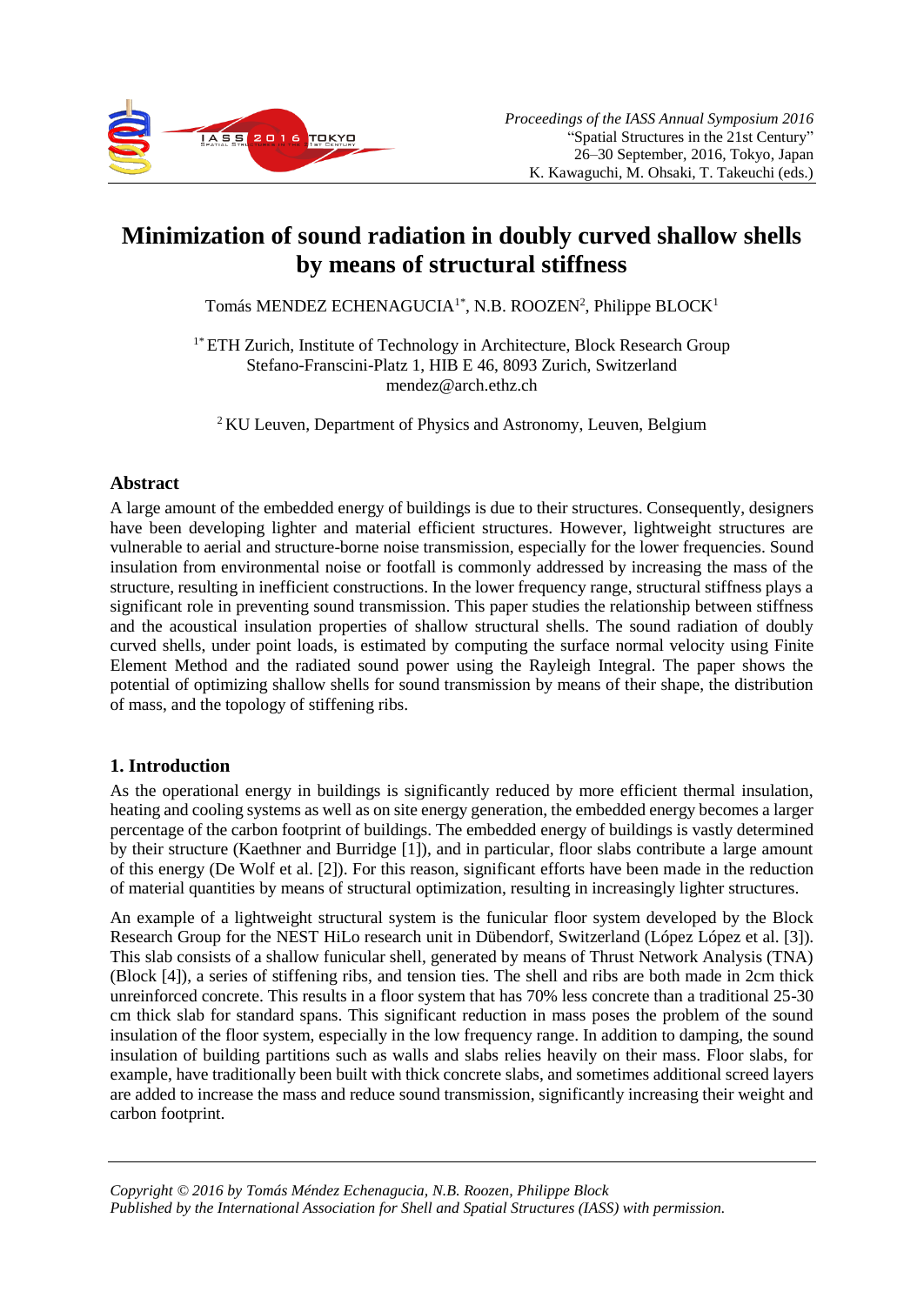

# **Minimization of sound radiation in doubly curved shallow shells by means of structural stiffness**

Tomás MENDEZ ECHENAGUCIA<sup>1\*</sup>, N.B. ROOZEN<sup>2</sup>, Philippe BLOCK<sup>1</sup>

<sup>1\*</sup> ETH Zurich, Institute of Technology in Architecture, Block Research Group Stefano-Franscini-Platz 1, HIB E 46, 8093 Zurich, Switzerland mendez@arch.ethz.ch

<sup>2</sup>KU Leuven, Department of Physics and Astronomy, Leuven, Belgium

# **Abstract**

A large amount of the embedded energy of buildings is due to their structures. Consequently, designers have been developing lighter and material efficient structures. However, lightweight structures are vulnerable to aerial and structure-borne noise transmission, especially for the lower frequencies. Sound insulation from environmental noise or footfall is commonly addressed by increasing the mass of the structure, resulting in inefficient constructions. In the lower frequency range, structural stiffness plays a significant role in preventing sound transmission. This paper studies the relationship between stiffness and the acoustical insulation properties of shallow structural shells. The sound radiation of doubly curved shells, under point loads, is estimated by computing the surface normal velocity using Finite Element Method and the radiated sound power using the Rayleigh Integral. The paper shows the potential of optimizing shallow shells for sound transmission by means of their shape, the distribution of mass, and the topology of stiffening ribs.

# **1. Introduction**

As the operational energy in buildings is significantly reduced by more efficient thermal insulation, heating and cooling systems as well as on site energy generation, the embedded energy becomes a larger percentage of the carbon footprint of buildings. The embedded energy of buildings is vastly determined by their structure (Kaethner and Burridge [1]), and in particular, floor slabs contribute a large amount of this energy (De Wolf et al. [2]). For this reason, significant efforts have been made in the reduction of material quantities by means of structural optimization, resulting in increasingly lighter structures.

An example of a lightweight structural system is the funicular floor system developed by the Block Research Group for the NEST HiLo research unit in Dübendorf, Switzerland (López López et al. [3]). This slab consists of a shallow funicular shell, generated by means of Thrust Network Analysis (TNA) (Block [4]), a series of stiffening ribs, and tension ties. The shell and ribs are both made in 2cm thick unreinforced concrete. This results in a floor system that has 70% less concrete than a traditional 25-30 cm thick slab for standard spans. This significant reduction in mass poses the problem of the sound insulation of the floor system, especially in the low frequency range. In addition to damping, the sound insulation of building partitions such as walls and slabs relies heavily on their mass. Floor slabs, for example, have traditionally been built with thick concrete slabs, and sometimes additional screed layers are added to increase the mass and reduce sound transmission, significantly increasing their weight and carbon footprint.

*Copyright © 2016 by Tomás Méndez Echenagucia, N.B. Roozen, Philippe Block Published by the International Association for Shell and Spatial Structures (IASS) with permission.*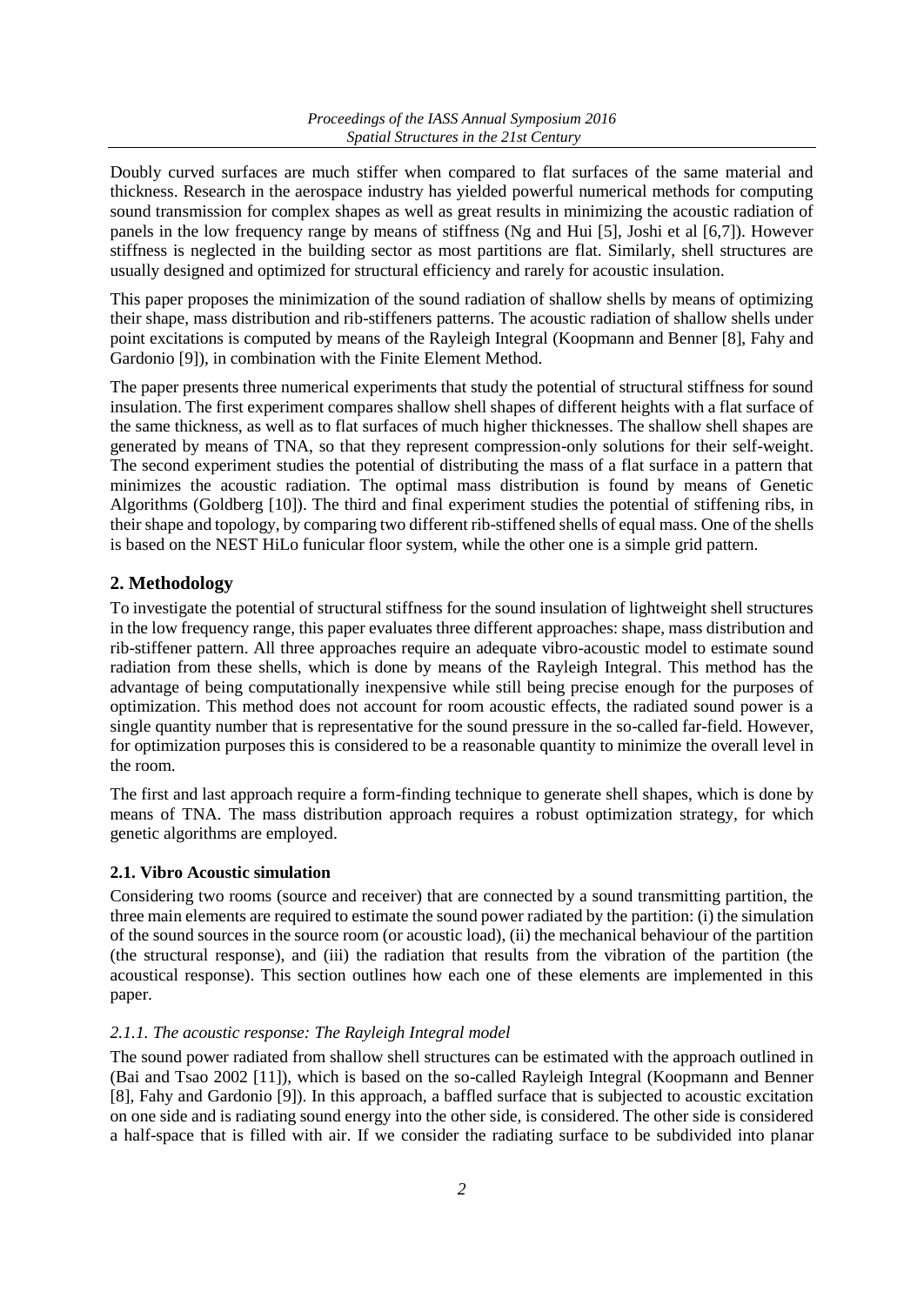Doubly curved surfaces are much stiffer when compared to flat surfaces of the same material and thickness. Research in the aerospace industry has yielded powerful numerical methods for computing sound transmission for complex shapes as well as great results in minimizing the acoustic radiation of panels in the low frequency range by means of stiffness (Ng and Hui [5], Joshi et al [6,7]). However stiffness is neglected in the building sector as most partitions are flat. Similarly, shell structures are usually designed and optimized for structural efficiency and rarely for acoustic insulation.

This paper proposes the minimization of the sound radiation of shallow shells by means of optimizing their shape, mass distribution and rib-stiffeners patterns. The acoustic radiation of shallow shells under point excitations is computed by means of the Rayleigh Integral (Koopmann and Benner [8], Fahy and Gardonio [9]), in combination with the Finite Element Method.

The paper presents three numerical experiments that study the potential of structural stiffness for sound insulation. The first experiment compares shallow shell shapes of different heights with a flat surface of the same thickness, as well as to flat surfaces of much higher thicknesses. The shallow shell shapes are generated by means of TNA, so that they represent compression-only solutions for their self-weight. The second experiment studies the potential of distributing the mass of a flat surface in a pattern that minimizes the acoustic radiation. The optimal mass distribution is found by means of Genetic Algorithms (Goldberg [10]). The third and final experiment studies the potential of stiffening ribs, in their shape and topology, by comparing two different rib-stiffened shells of equal mass. One of the shells is based on the NEST HiLo funicular floor system, while the other one is a simple grid pattern.

# **2. Methodology**

To investigate the potential of structural stiffness for the sound insulation of lightweight shell structures in the low frequency range, this paper evaluates three different approaches: shape, mass distribution and rib-stiffener pattern. All three approaches require an adequate vibro-acoustic model to estimate sound radiation from these shells, which is done by means of the Rayleigh Integral. This method has the advantage of being computationally inexpensive while still being precise enough for the purposes of optimization. This method does not account for room acoustic effects, the radiated sound power is a single quantity number that is representative for the sound pressure in the so-called far-field. However, for optimization purposes this is considered to be a reasonable quantity to minimize the overall level in the room.

The first and last approach require a form-finding technique to generate shell shapes, which is done by means of TNA. The mass distribution approach requires a robust optimization strategy, for which genetic algorithms are employed.

# **2.1. Vibro Acoustic simulation**

Considering two rooms (source and receiver) that are connected by a sound transmitting partition, the three main elements are required to estimate the sound power radiated by the partition: (i) the simulation of the sound sources in the source room (or acoustic load), (ii) the mechanical behaviour of the partition (the structural response), and (iii) the radiation that results from the vibration of the partition (the acoustical response). This section outlines how each one of these elements are implemented in this paper.

#### *2.1.1. The acoustic response: The Rayleigh Integral model*

The sound power radiated from shallow shell structures can be estimated with the approach outlined in (Bai and Tsao 2002 [11]), which is based on the so-called Rayleigh Integral (Koopmann and Benner [8], Fahy and Gardonio [9]). In this approach, a baffled surface that is subjected to acoustic excitation on one side and is radiating sound energy into the other side, is considered. The other side is considered a half-space that is filled with air. If we consider the radiating surface to be subdivided into planar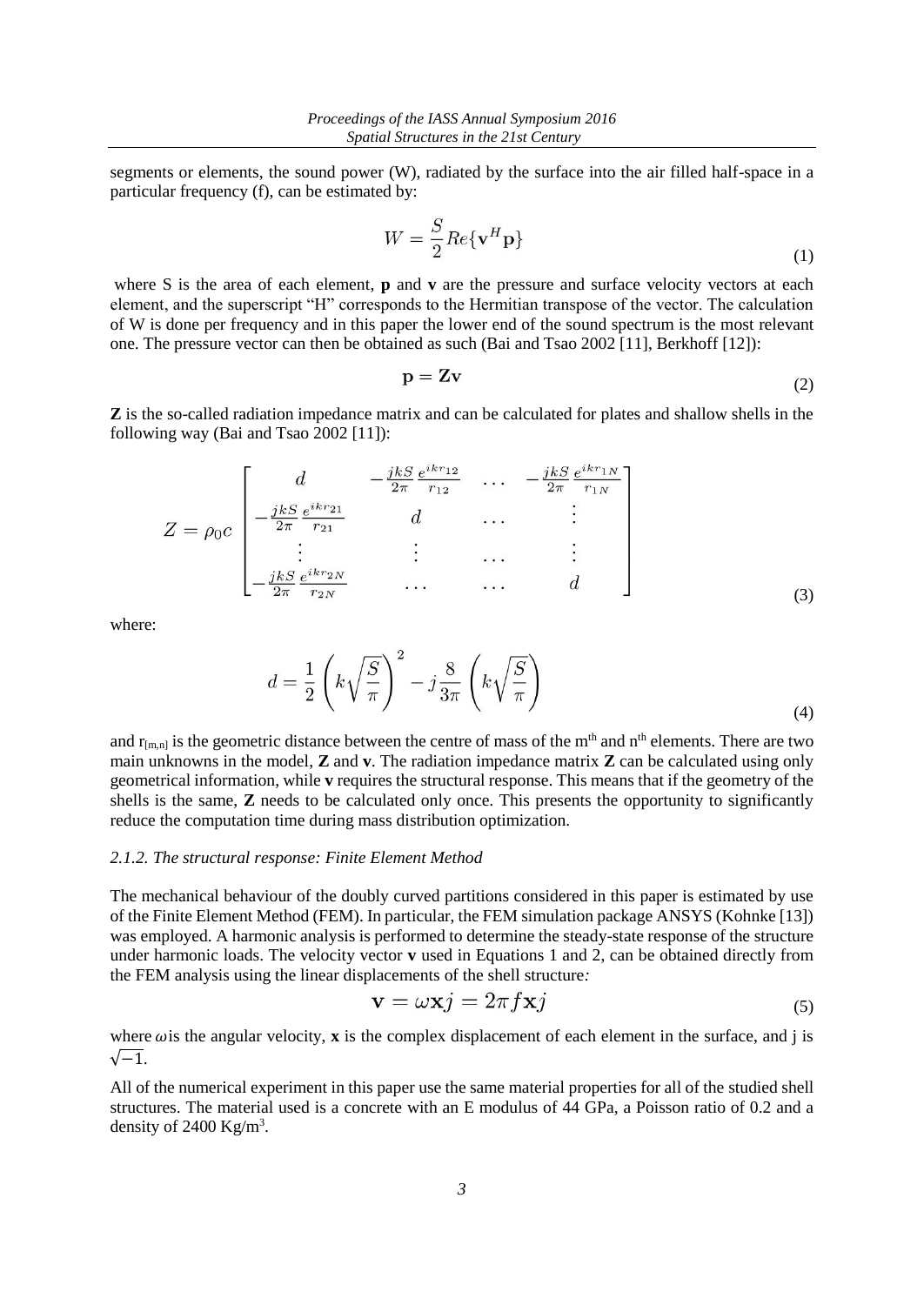segments or elements, the sound power (W), radiated by the surface into the air filled half-space in a particular frequency (f), can be estimated by:

$$
W = \frac{S}{2} Re{\{\mathbf{v}^H \mathbf{p}\}}
$$
 (1)

where S is the area of each element, **p** and **v** are the pressure and surface velocity vectors at each element, and the superscript "H" corresponds to the Hermitian transpose of the vector. The calculation of W is done per frequency and in this paper the lower end of the sound spectrum is the most relevant one. The pressure vector can then be obtained as such (Bai and Tsao 2002 [11], Berkhoff [12]):

$$
\mathbf{p} = \mathbf{Z}\mathbf{v} \tag{2}
$$

**Z** is the so-called radiation impedance matrix and can be calculated for plates and shallow shells in the following way (Bai and Tsao 2002 [11]):

$$
Z = \rho_0 c \begin{bmatrix} d & -\frac{jkS}{2\pi} \frac{e^{ikr_{12}}}{r_{12}} & \cdots & -\frac{jkS}{2\pi} \frac{e^{ikr_{1N}}}{r_{1N}} \\ -\frac{jkS}{2\pi} \frac{e^{ikr_{21}}}{r_{21}} & d & \cdots & \vdots \\ \vdots & \vdots & \cdots & \vdots \\ -\frac{jkS}{2\pi} \frac{e^{ikr_{2N}}}{r_{2N}} & \cdots & \cdots & d \end{bmatrix}
$$
(3)

where:

$$
d = \frac{1}{2} \left( k \sqrt{\frac{S}{\pi}} \right)^2 - j \frac{8}{3\pi} \left( k \sqrt{\frac{S}{\pi}} \right)
$$
\n(4)

and  $r_{[m,n]}$  is the geometric distance between the centre of mass of the m<sup>th</sup> and n<sup>th</sup> elements. There are two main unknowns in the model, **Z** and **v**. The radiation impedance matrix **Z** can be calculated using only geometrical information, while **v** requires the structural response. This means that if the geometry of the shells is the same, **Z** needs to be calculated only once. This presents the opportunity to significantly reduce the computation time during mass distribution optimization.

#### *2.1.2. The structural response: Finite Element Method*

The mechanical behaviour of the doubly curved partitions considered in this paper is estimated by use of the Finite Element Method (FEM). In particular, the FEM simulation package ANSYS (Kohnke [13]) was employed. A harmonic analysis is performed to determine the steady-state response of the structure under harmonic loads. The velocity vector **v** used in Equations 1 and 2, can be obtained directly from the FEM analysis using the linear displacements of the shell structure*:* 

$$
\mathbf{v} = \omega \mathbf{x} j = 2\pi f \mathbf{x} j \tag{5}
$$

where  $\omega$  is the angular velocity, **x** is the complex displacement of each element in the surface, and j is  $\sqrt{-1}$ .

All of the numerical experiment in this paper use the same material properties for all of the studied shell structures. The material used is a concrete with an E modulus of 44 GPa, a Poisson ratio of 0.2 and a density of 2400 Kg/m<sup>3</sup>.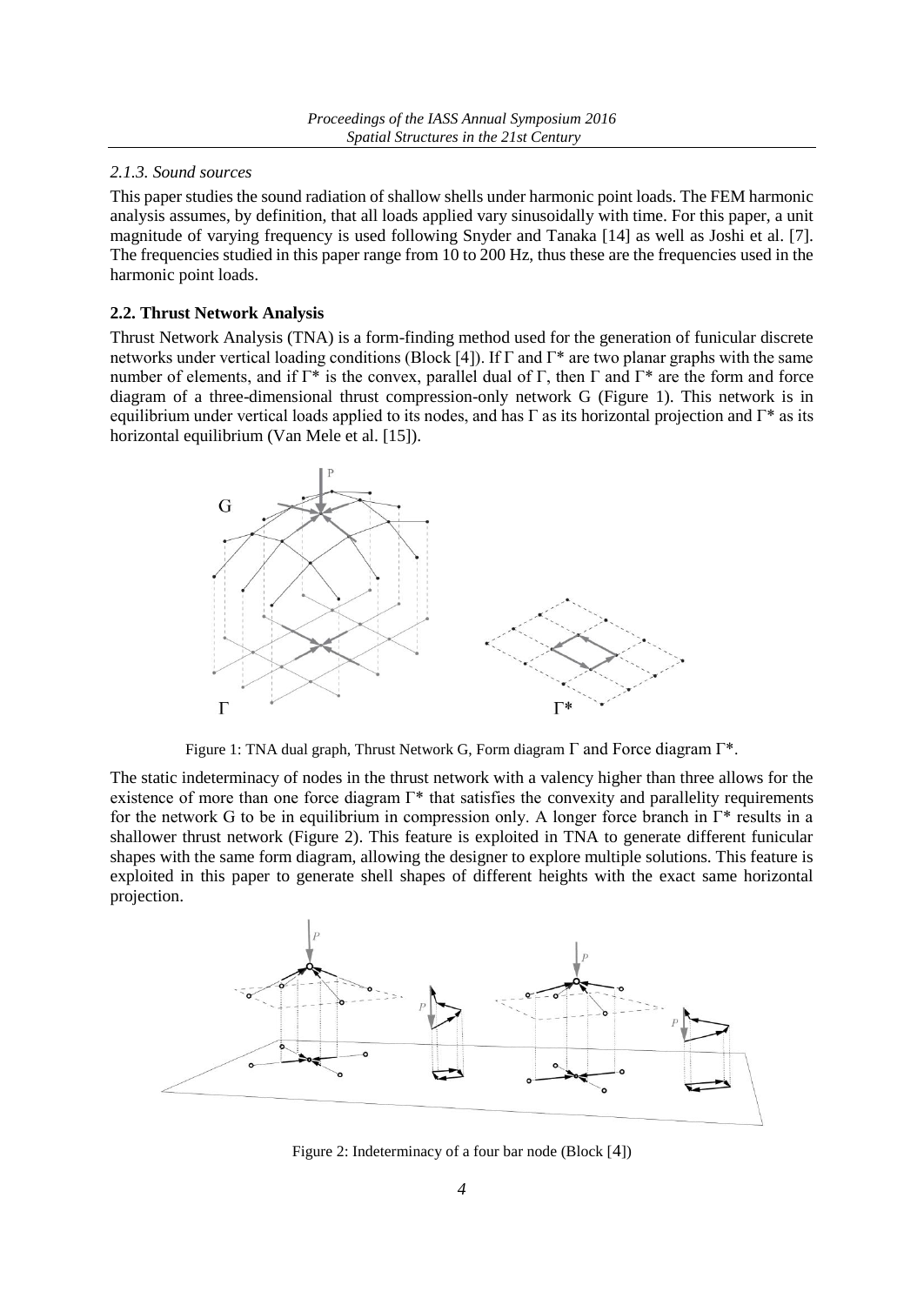#### *2.1.3. Sound sources*

This paper studies the sound radiation of shallow shells under harmonic point loads. The FEM harmonic analysis assumes, by definition, that all loads applied vary sinusoidally with time. For this paper, a unit magnitude of varying frequency is used following Snyder and Tanaka [14] as well as Joshi et al. [7]. The frequencies studied in this paper range from 10 to 200 Hz, thus these are the frequencies used in the harmonic point loads.

## **2.2. Thrust Network Analysis**

Thrust Network Analysis (TNA) is a form-finding method used for the generation of funicular discrete networks under vertical loading conditions (Block [4]). If Γ and Γ\* are two planar graphs with the same number of elements, and if  $\Gamma^*$  is the convex, parallel dual of  $\Gamma$ , then  $\Gamma$  and  $\Gamma^*$  are the form and force diagram of a three-dimensional thrust compression-only network G (Figure 1). This network is in equilibrium under vertical loads applied to its nodes, and has Γ as its horizontal projection and  $\Gamma^*$  as its horizontal equilibrium (Van Mele et al. [15]).



Figure 1: TNA dual graph, Thrust Network G, Form diagram  $\Gamma$  and Force diagram  $\Gamma^*$ .

The static indeterminacy of nodes in the thrust network with a valency higher than three allows for the existence of more than one force diagram Γ\* that satisfies the convexity and parallelity requirements for the network G to be in equilibrium in compression only. A longer force branch in Γ\* results in a shallower thrust network (Figure 2). This feature is exploited in TNA to generate different funicular shapes with the same form diagram, allowing the designer to explore multiple solutions. This feature is exploited in this paper to generate shell shapes of different heights with the exact same horizontal projection.



Figure 2: Indeterminacy of a four bar node (Block [4])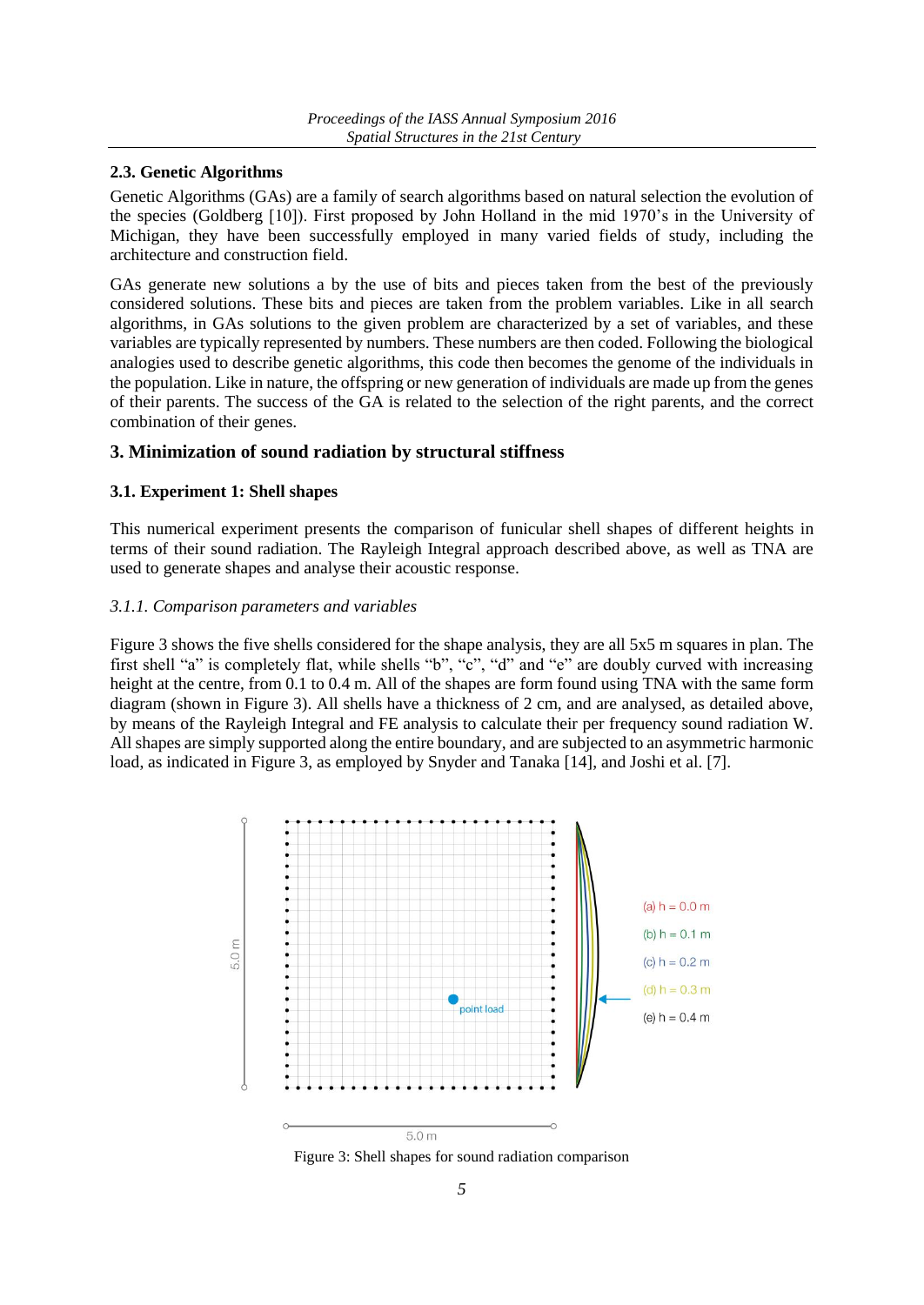#### **2.3. Genetic Algorithms**

Genetic Algorithms (GAs) are a family of search algorithms based on natural selection the evolution of the species (Goldberg [10]). First proposed by John Holland in the mid 1970's in the University of Michigan, they have been successfully employed in many varied fields of study, including the architecture and construction field.

GAs generate new solutions a by the use of bits and pieces taken from the best of the previously considered solutions. These bits and pieces are taken from the problem variables. Like in all search algorithms, in GAs solutions to the given problem are characterized by a set of variables, and these variables are typically represented by numbers. These numbers are then coded. Following the biological analogies used to describe genetic algorithms, this code then becomes the genome of the individuals in the population. Like in nature, the offspring or new generation of individuals are made up from the genes of their parents. The success of the GA is related to the selection of the right parents, and the correct combination of their genes.

# **3. Minimization of sound radiation by structural stiffness**

## **3.1. Experiment 1: Shell shapes**

This numerical experiment presents the comparison of funicular shell shapes of different heights in terms of their sound radiation. The Rayleigh Integral approach described above, as well as TNA are used to generate shapes and analyse their acoustic response.

## *3.1.1. Comparison parameters and variables*

Figure 3 shows the five shells considered for the shape analysis, they are all 5x5 m squares in plan. The first shell "a" is completely flat, while shells "b", "c", "d" and "e" are doubly curved with increasing height at the centre, from 0.1 to 0.4 m. All of the shapes are form found using TNA with the same form diagram (shown in Figure 3). All shells have a thickness of 2 cm, and are analysed, as detailed above, by means of the Rayleigh Integral and FE analysis to calculate their per frequency sound radiation W. All shapes are simply supported along the entire boundary, and are subjected to an asymmetric harmonic load, as indicated in Figure 3, as employed by Snyder and Tanaka [14], and Joshi et al. [7].



Figure 3: Shell shapes for sound radiation comparison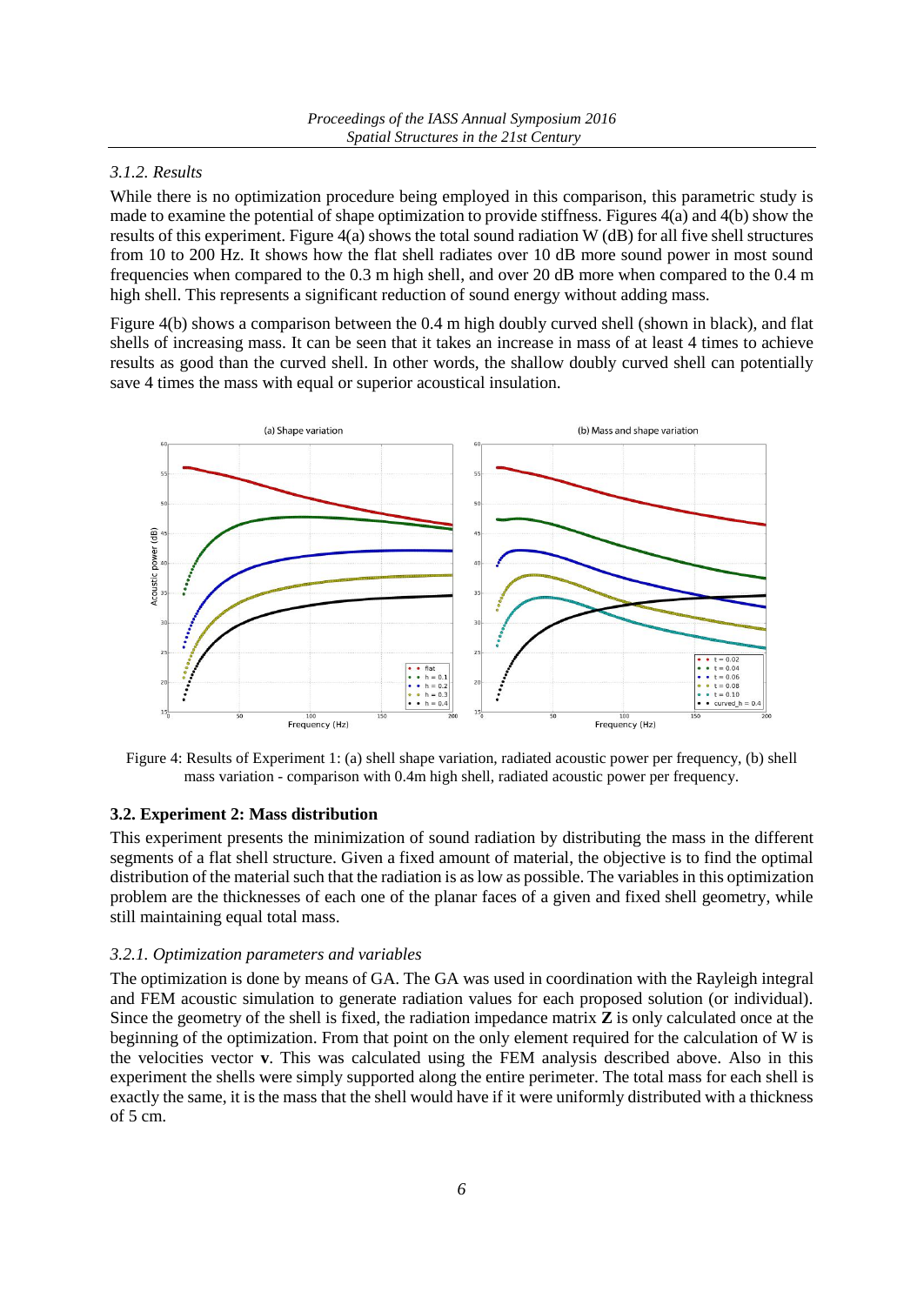# *3.1.2. Results*

While there is no optimization procedure being employed in this comparison, this parametric study is made to examine the potential of shape optimization to provide stiffness. Figures 4(a) and 4(b) show the results of this experiment. Figure 4(a) shows the total sound radiation W (dB) for all five shell structures from 10 to 200 Hz. It shows how the flat shell radiates over 10 dB more sound power in most sound frequencies when compared to the 0.3 m high shell, and over 20 dB more when compared to the 0.4 m high shell. This represents a significant reduction of sound energy without adding mass.

Figure 4(b) shows a comparison between the 0.4 m high doubly curved shell (shown in black), and flat shells of increasing mass. It can be seen that it takes an increase in mass of at least 4 times to achieve results as good than the curved shell. In other words, the shallow doubly curved shell can potentially save 4 times the mass with equal or superior acoustical insulation.



Figure 4: Results of Experiment 1: (a) shell shape variation, radiated acoustic power per frequency, (b) shell mass variation - comparison with 0.4m high shell, radiated acoustic power per frequency.

#### **3.2. Experiment 2: Mass distribution**

This experiment presents the minimization of sound radiation by distributing the mass in the different segments of a flat shell structure. Given a fixed amount of material, the objective is to find the optimal distribution of the material such that the radiation is as low as possible. The variables in this optimization problem are the thicknesses of each one of the planar faces of a given and fixed shell geometry, while still maintaining equal total mass.

#### *3.2.1. Optimization parameters and variables*

The optimization is done by means of GA. The GA was used in coordination with the Rayleigh integral and FEM acoustic simulation to generate radiation values for each proposed solution (or individual). Since the geometry of the shell is fixed, the radiation impedance matrix **Z** is only calculated once at the beginning of the optimization. From that point on the only element required for the calculation of W is the velocities vector **v**. This was calculated using the FEM analysis described above. Also in this experiment the shells were simply supported along the entire perimeter. The total mass for each shell is exactly the same, it is the mass that the shell would have if it were uniformly distributed with a thickness of 5 cm.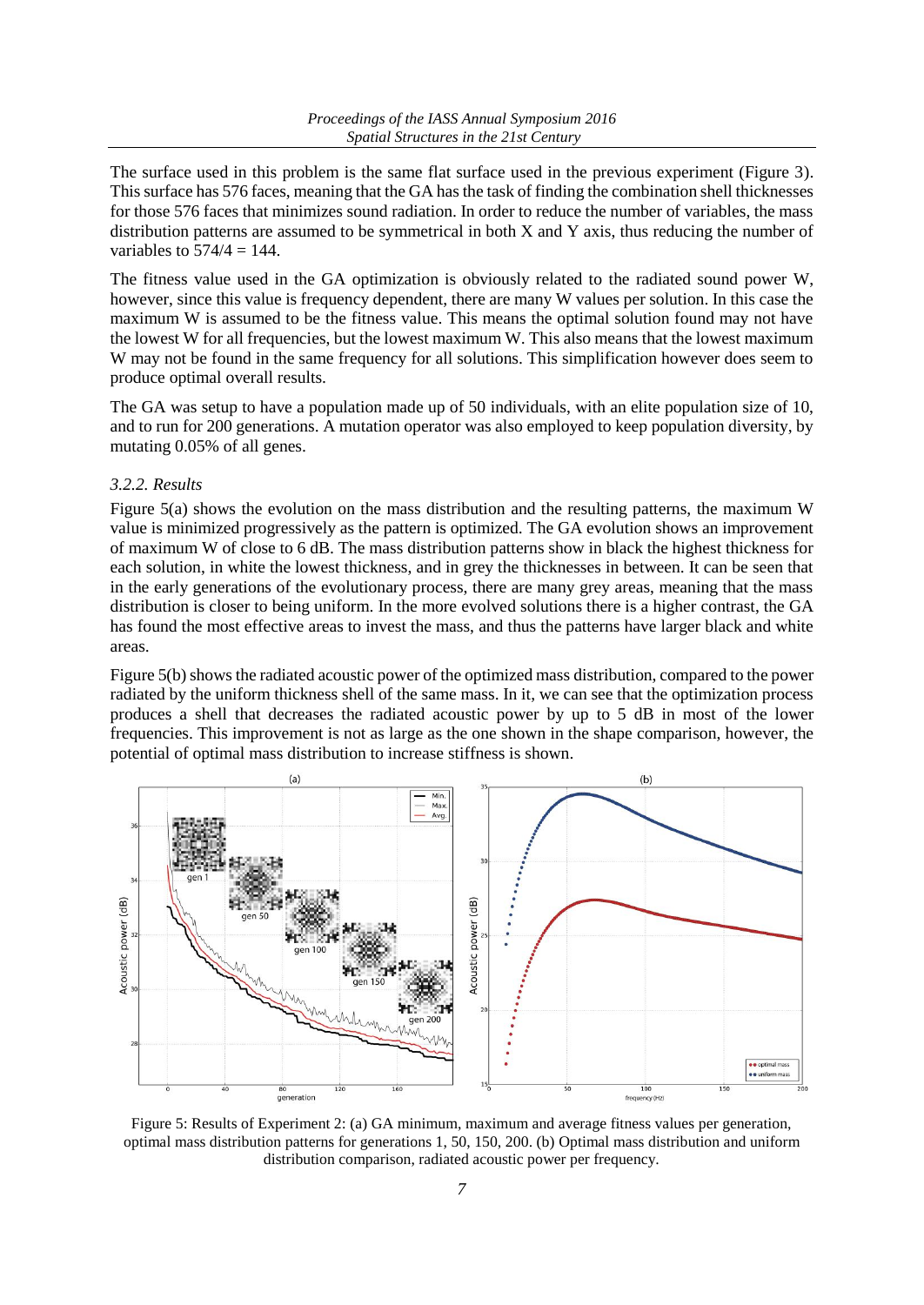The surface used in this problem is the same flat surface used in the previous experiment (Figure 3). This surface has 576 faces, meaning that the GA has the task of finding the combination shell thicknesses for those 576 faces that minimizes sound radiation. In order to reduce the number of variables, the mass distribution patterns are assumed to be symmetrical in both X and Y axis, thus reducing the number of variables to  $574/4 = 144$ .

The fitness value used in the GA optimization is obviously related to the radiated sound power W, however, since this value is frequency dependent, there are many W values per solution. In this case the maximum W is assumed to be the fitness value. This means the optimal solution found may not have the lowest W for all frequencies, but the lowest maximum W. This also means that the lowest maximum W may not be found in the same frequency for all solutions. This simplification however does seem to produce optimal overall results.

The GA was setup to have a population made up of 50 individuals, with an elite population size of 10, and to run for 200 generations. A mutation operator was also employed to keep population diversity, by mutating 0.05% of all genes.

#### *3.2.2. Results*

Figure 5(a) shows the evolution on the mass distribution and the resulting patterns, the maximum W value is minimized progressively as the pattern is optimized. The GA evolution shows an improvement of maximum W of close to 6 dB. The mass distribution patterns show in black the highest thickness for each solution, in white the lowest thickness, and in grey the thicknesses in between. It can be seen that in the early generations of the evolutionary process, there are many grey areas, meaning that the mass distribution is closer to being uniform. In the more evolved solutions there is a higher contrast, the GA has found the most effective areas to invest the mass, and thus the patterns have larger black and white areas.

Figure 5(b) shows the radiated acoustic power of the optimized mass distribution, compared to the power radiated by the uniform thickness shell of the same mass. In it, we can see that the optimization process produces a shell that decreases the radiated acoustic power by up to 5 dB in most of the lower frequencies. This improvement is not as large as the one shown in the shape comparison, however, the potential of optimal mass distribution to increase stiffness is shown.



Figure 5: Results of Experiment 2: (a) GA minimum, maximum and average fitness values per generation, optimal mass distribution patterns for generations 1, 50, 150, 200. (b) Optimal mass distribution and uniform distribution comparison, radiated acoustic power per frequency.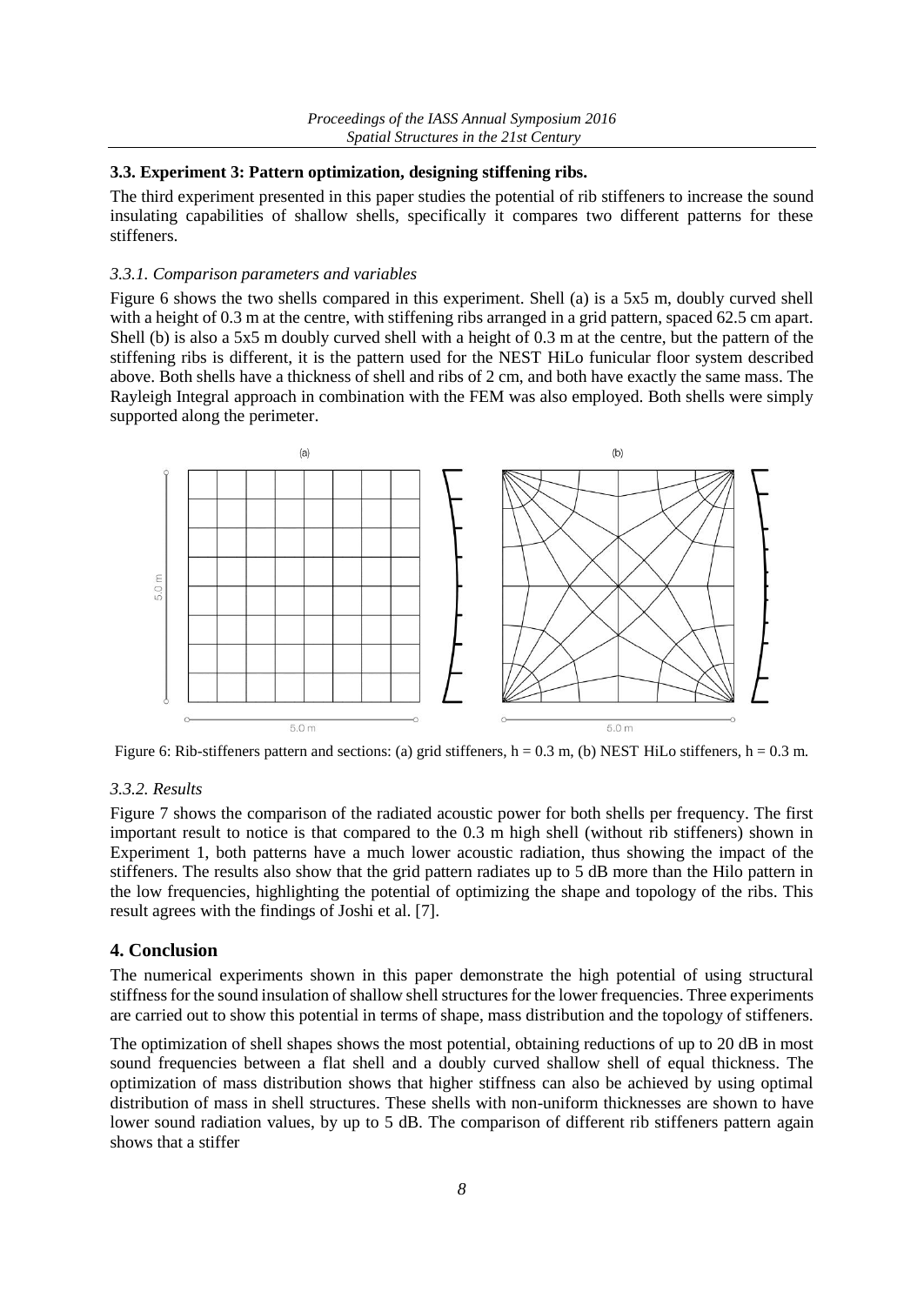## **3.3. Experiment 3: Pattern optimization, designing stiffening ribs.**

The third experiment presented in this paper studies the potential of rib stiffeners to increase the sound insulating capabilities of shallow shells, specifically it compares two different patterns for these stiffeners.

#### *3.3.1. Comparison parameters and variables*

Figure 6 shows the two shells compared in this experiment. Shell (a) is a 5x5 m, doubly curved shell with a height of 0.3 m at the centre, with stiffening ribs arranged in a grid pattern, spaced 62.5 cm apart. Shell (b) is also a 5x5 m doubly curved shell with a height of 0.3 m at the centre, but the pattern of the stiffening ribs is different, it is the pattern used for the NEST HiLo funicular floor system described above. Both shells have a thickness of shell and ribs of 2 cm, and both have exactly the same mass. The Rayleigh Integral approach in combination with the FEM was also employed. Both shells were simply supported along the perimeter.



Figure 6: Rib-stiffeners pattern and sections: (a) grid stiffeners, h = 0.3 m, (b) NEST HiLo stiffeners, h = 0.3 m.

#### *3.3.2. Results*

Figure 7 shows the comparison of the radiated acoustic power for both shells per frequency. The first important result to notice is that compared to the 0.3 m high shell (without rib stiffeners) shown in Experiment 1, both patterns have a much lower acoustic radiation, thus showing the impact of the stiffeners. The results also show that the grid pattern radiates up to 5 dB more than the Hilo pattern in the low frequencies, highlighting the potential of optimizing the shape and topology of the ribs. This result agrees with the findings of Joshi et al. [7].

# **4. Conclusion**

The numerical experiments shown in this paper demonstrate the high potential of using structural stiffness for the sound insulation of shallow shell structures for the lower frequencies. Three experiments are carried out to show this potential in terms of shape, mass distribution and the topology of stiffeners.

The optimization of shell shapes shows the most potential, obtaining reductions of up to 20 dB in most sound frequencies between a flat shell and a doubly curved shallow shell of equal thickness. The optimization of mass distribution shows that higher stiffness can also be achieved by using optimal distribution of mass in shell structures. These shells with non-uniform thicknesses are shown to have lower sound radiation values, by up to 5 dB. The comparison of different rib stiffeners pattern again shows that a stiffer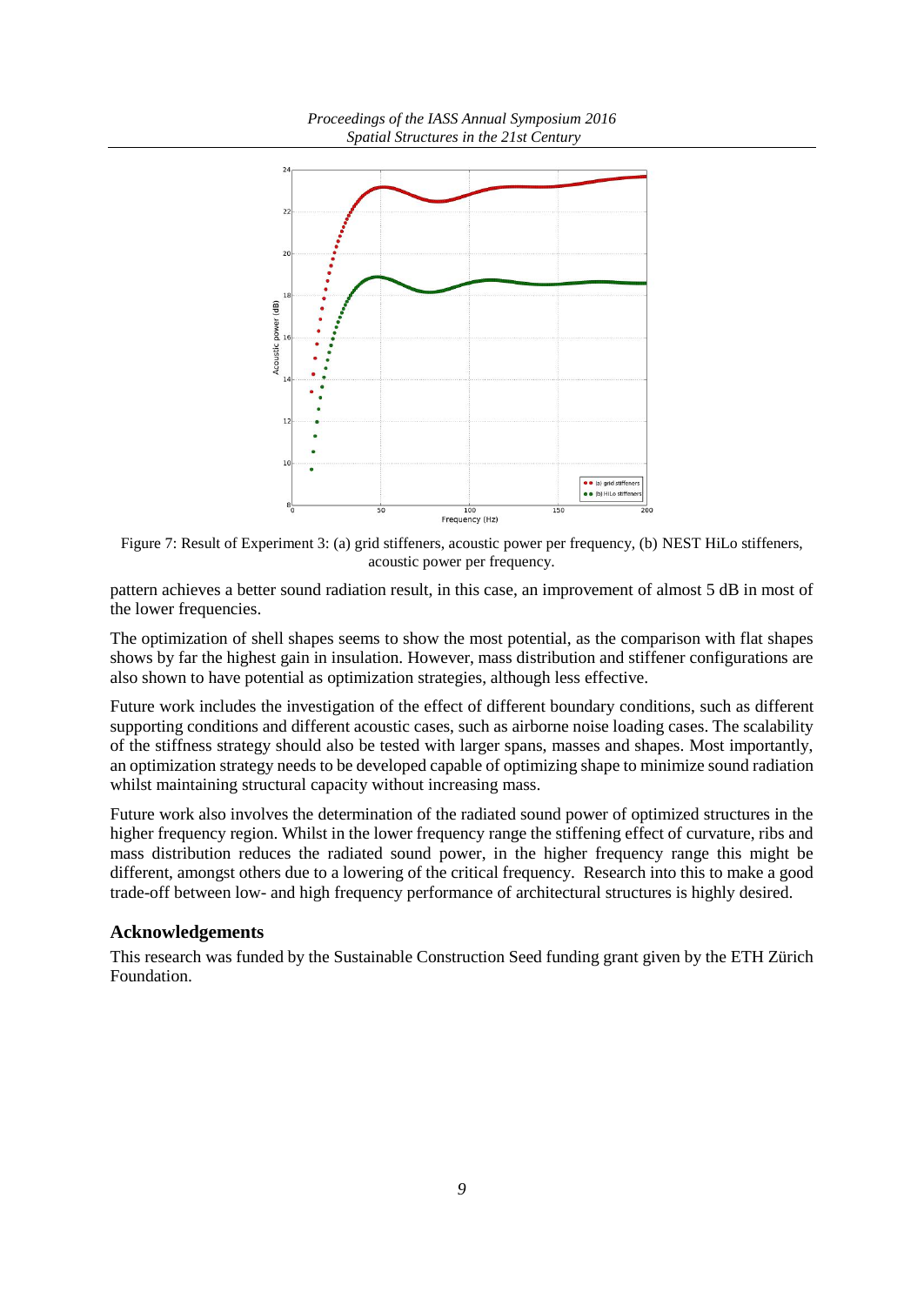

Figure 7: Result of Experiment 3: (a) grid stiffeners, acoustic power per frequency, (b) NEST HiLo stiffeners, acoustic power per frequency.

pattern achieves a better sound radiation result, in this case, an improvement of almost 5 dB in most of the lower frequencies.

The optimization of shell shapes seems to show the most potential, as the comparison with flat shapes shows by far the highest gain in insulation. However, mass distribution and stiffener configurations are also shown to have potential as optimization strategies, although less effective.

Future work includes the investigation of the effect of different boundary conditions, such as different supporting conditions and different acoustic cases, such as airborne noise loading cases. The scalability of the stiffness strategy should also be tested with larger spans, masses and shapes. Most importantly, an optimization strategy needs to be developed capable of optimizing shape to minimize sound radiation whilst maintaining structural capacity without increasing mass.

Future work also involves the determination of the radiated sound power of optimized structures in the higher frequency region. Whilst in the lower frequency range the stiffening effect of curvature, ribs and mass distribution reduces the radiated sound power, in the higher frequency range this might be different, amongst others due to a lowering of the critical frequency. Research into this to make a good trade-off between low- and high frequency performance of architectural structures is highly desired.

#### **Acknowledgements**

This research was funded by the Sustainable Construction Seed funding grant given by the ETH Zürich Foundation.